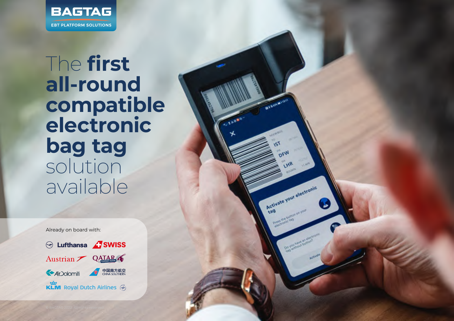

## The **first all-round compatible electronic bag tag** solution available

**STARRA** 

Activate your electronic

Already on board with:

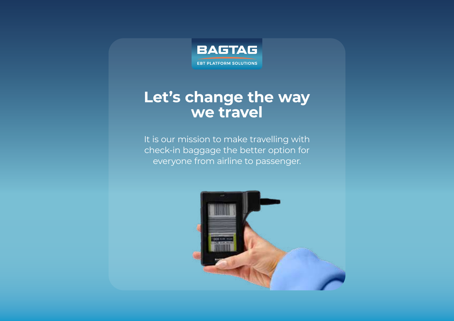

## **Let's change the way we travel**

It is our mission to make travelling with check-in baggage the better option for everyone from airline to passenger.

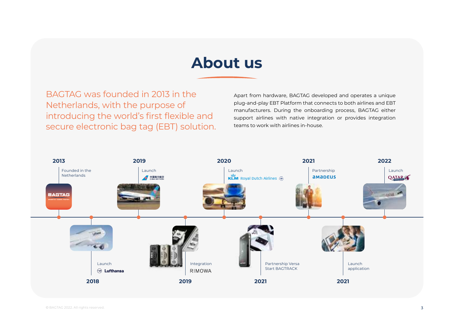## **About us**

BAGTAG was founded in 2013 in the Netherlands, with the purpose of introducing the world's first flexible and secure electronic bag tag (EBT) solution.

Apart from hardware, BAGTAG developed and operates a unique plug-and-play EBT Platform that connects to both airlines and EBT manufacturers. During the onboarding process, BAGTAG either support airlines with native integration or provides integration teams to work with airlines in-house.

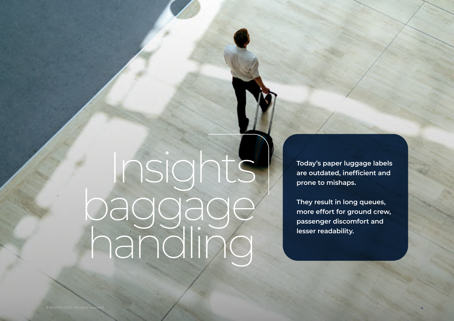## Insights baggage handling

**Today's paper luggage labels are outdated, inefficient and prone to mishaps.**

**They result in long queues, more effort for ground crew, passenger discomfort and lesser readability.**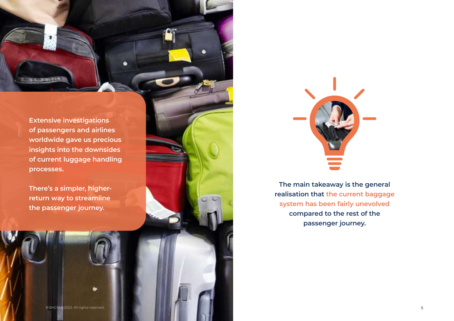**Extensive investigations of passengers and airlines worldwide gave us precious insights into the downsides of current luggage handling processes.**

**TAXABLE** 

**There's a simpler, higherreturn way to streamline the passenger journey.**



**The main takeaway is the general realisation that the current baggage system has been fairly unevolved compared to the rest of the passenger journey.**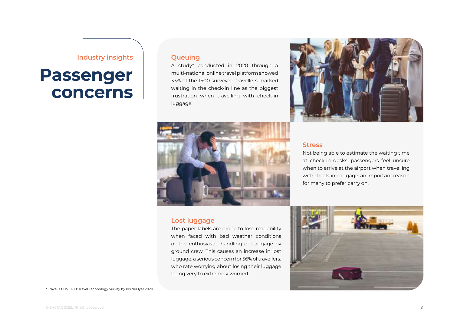#### **Industry insights**

## **Passenger concerns**

#### **Queuing**

A study\* conducted in 2020 through a multi-national online travel platform showed 33% of the 1500 surveyed travellers marked waiting in the check-in line as the biggest frustration when travelling with check-in luggage.





#### **Lost luggage**

The paper labels are prone to lose readability when faced with bad weather conditions or the enthusiastic handling of baggage by ground crew. This causes an increase in lost luggage, a serious concern for 56% of travellers, who rate worrying about losing their luggage being very to extremely worried.

#### **Stress**

Not being able to estimate the waiting time at check-in desks, passengers feel unsure when to arrive at the airport when travelling with check-in baggage, an important reason for many to prefer carry on.

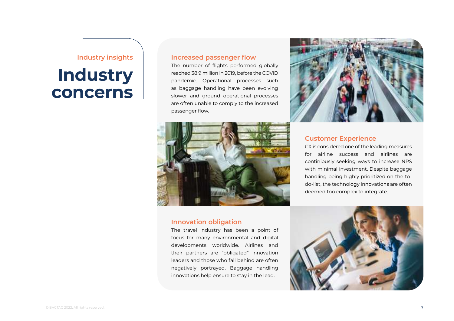#### **Industry insights**

## **Industry concerns**

#### **Increased passenger flow**

The number of flights performed globally reached 38.9 million in 2019, before the COVID pandemic. Operational processes such as baggage handling have been evolving slower and ground operational processes are often unable to comply to the increased passenger flow.



#### **Innovation obligation**

The travel industry has been a point of focus for many environmental and digital developments worldwide. Airlines and their partners are "obligated" innovation leaders and those who fall behind are often negatively portrayed. Baggage handling innovations help ensure to stay in the lead.



#### **Customer Experience**

CX is considered one of the leading measures for airline success and airlines are continiously seeking ways to increase NPS with minimal investment. Despite baggage handling being highly prioritized on the todo-list, the technology innovations are often deemed too complex to integrate.

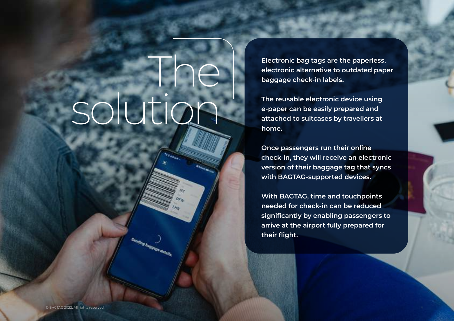# The solution

**Electronic bag tags are the paperless, electronic alternative to outdated paper baggage check-in labels.**

**The reusable electronic device using e-paper can be easily prepared and attached to suitcases by travellers at home.**

**Once passengers run their online check-in, they will receive an electronic version of their baggage tag that syncs with BAGTAG-supported devices.**

**With BAGTAG, time and touchpoints needed for check-in can be reduced significantly by enabling passengers to arrive at the airport fully prepared for their flight.**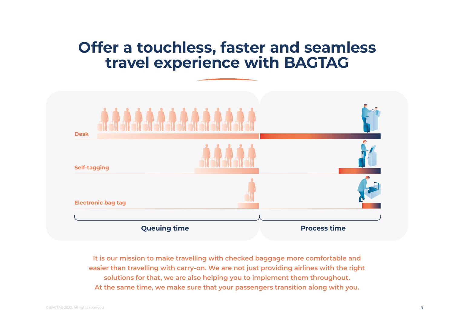## **Offer a touchless, faster and seamless travel experience with BAGTAG**



**It is our mission to make travelling with checked baggage more comfortable and easier than travelling with carry-on. We are not just providing airlines with the right solutions for that, we are also helping you to implement them throughout. At the same time, we make sure that your passengers transition along with you.**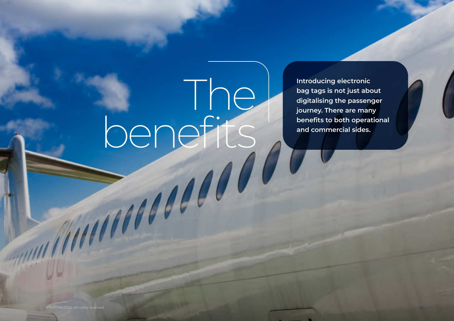The benefits

**Introducing electronic bag tags is not just about digitalising the passenger journey. There are many benefits to both operational and commercial sides.**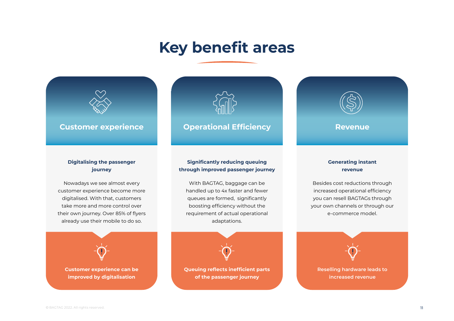## **Key benefit areas**



#### **Digitalising the passenger journey**

Nowadays we see almost every customer experience become more digitalised. With that, customers take more and more control over their own journey. Over 85% of flyers already use their mobile to do so.





#### **Significantly reducing queuing through improved passenger journey**

With BAGTAG, baggage can be handled up to 4x faster and fewer queues are formed, significantly boosting efficiency without the requirement of actual operational adaptations.



**of the passenger journey**



#### **Generating instant revenue**

Besides cost reductions through increased operational efficiency you can resell BAGTAGs through your own channels or through our e-commerce model.

**Reselling hardware leads to increased revenue**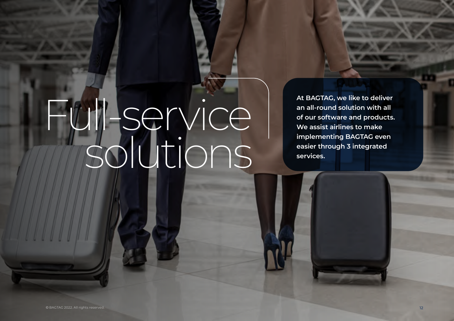# Full-service solutions

**At BAGTAG, we like to deliver an all-round solution with all of our software and products. We assist airlines to make implementing BAGTAG even easier through 3 integrated services.**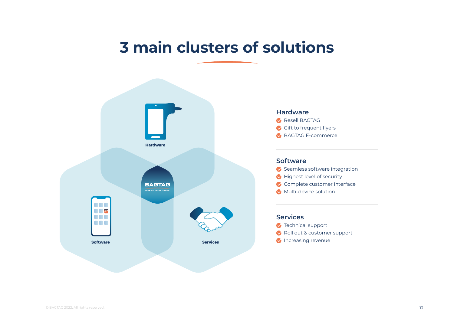## **3 main clusters of solutions**



#### **Hardware**

- **C** Resell BAGTAG
- Gift to frequent flyers
- BAGTAG E-commerce

#### **Software**

- Seamless software integration
- Highest level of security
- Complete customer interface
- **Multi-device solution**

#### **Services**

- **V** Technical support
- Roll out & customer support
- **V** Increasing revenue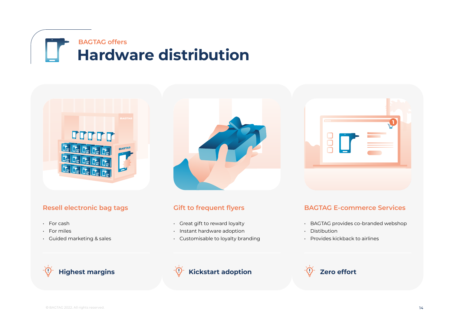



### **Resell electronic bag tags**

- For cash
- For miles
- Guided marketing & sales



### **Gift to frequent flyers**

- Great gift to reward loyalty
- Instant hardware adoption
- Customisable to loyalty branding



### **BAGTAG E-commerce Services**

- BAGTAG provides co-branded webshop
- Distibution
- Provides kickback to airlines



### **Highest margins Example 2 Kickstart adoption Zero effort**

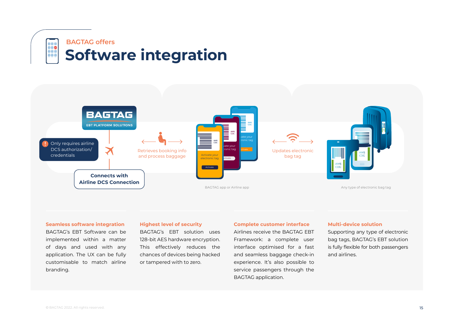



#### **Seamless software integration**

BAGTAG's EBT Software can be implemented within a matter of days and used with any application. The UX can be fully customisable to match airline branding.

#### **Highest level of security**

BAGTAG's EBT solution uses 128-bit AES hardware encryption. This effectively reduces the chances of devices being hacked or tampered with to zero.

#### **Complete customer interface**

Airlines receive the BAGTAG EBT Framework: a complete user interface optimised for a fast and seamless baggage check-in experience. It's also possible to service passengers through the BAGTAG application.

#### **Multi-device solution**

Supporting any type of electronic bag tags, BAGTAG's EBT solution is fully flexible for both passengers and airlines.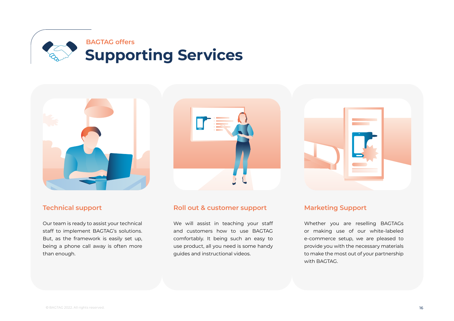







#### **Technical support**

Our team is ready to assist your technical staff to implement BAGTAG's solutions. But, as the framework is easily set up, being a phone call away is often more than enough.

#### **Roll out & customer support**

We will assist in teaching your staff and customers how to use BAGTAG comfortably. It being such an easy to use product, all you need is some handy guides and instructional videos.

#### **Marketing Support**

Whether you are reselling BAGTAGs or making use of our white-labeled e-commerce setup, we are pleased to provide you with the necessary materials to make the most out of your partnership with BAGTAG.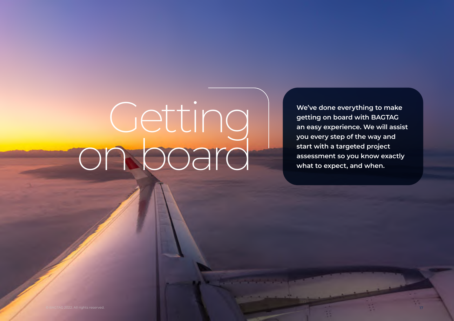# Getting on board

**We've done everything to make getting on board with BAGTAG an easy experience. We will assist you every step of the way and start with a targeted project assessment so you know exactly what to expect, and when.**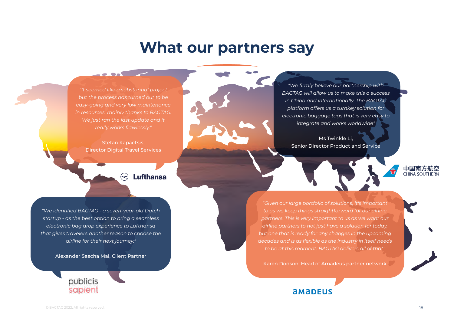### **What our partners say**

*"It seemed like a substantial project but the process has turned out to be easy-going and very low maintenance in resources, mainly thanks to BAGTAG. We just ran the last update and it really works flawlessly."*

 $\bullet$  . So the set of  $\bullet$ 

Stefan Kapactsis, Director Digital Travel Services

> **Lufthansa**  $\bm{\bm{\leftrightarrow}}$

*"We identified BAGTAG - a seven-year-old Dutch startup - as the best option to bring a seamless electronic bag drop experience to Lufthansa that gives travelers another reason to choose the airline for their next journey."*

Alexander Sascha Mai, Client Partner





*"We firmly believe our partnership with BAGTAG will allow us to make this a success in China and internationally. The BAGTAG platform offers us a turnkey solution for electronic baggage tags that is very easy to integrate and works worldwide"* 

Ms Twinkle Li, Senior Director Product and Service

*"Given our large portfolio of solutions, it's important to us we keep things straightforward for our airline partners. This is very important to us as we want our airline partners to not just have a solution for today, but one that is ready for any changes in the upcoming decades and is as flexible as the industry in itself needs to be at this moment. BAGTAG delivers all of that"*

Karen Dodson, Head of Amadeus partner network

### **AMADEUS**

中国南方航空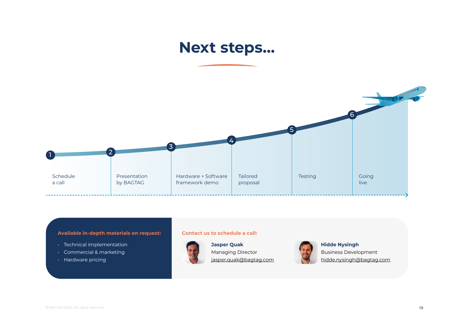## **Next steps…**



#### **Available in-depth materials on request: Contact us to schedule a call:**

- Technical implementation
- Commercial & marketing
- Hardware pricing



**Jasper Quak** Managing Director [jasper.quak@bagtag.com](mailto:jasper.quak%40bagtag.com%20?subject=)



**Hidde Nysingh** Business Development [hidde.nysingh@bagtag.com](mailto:hidde.nysingh%40bagtag.com?subject=)